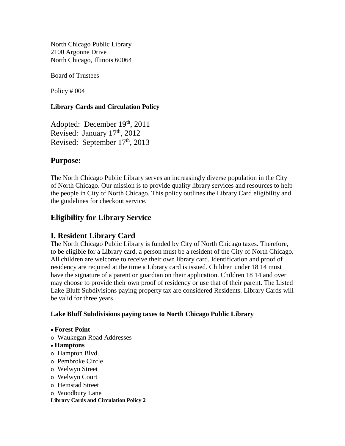North Chicago Public Library 2100 Argonne Drive North Chicago, Illinois 60064

Board of Trustees

Policy # 004

#### **Library Cards and Circulation Policy**

Adopted: December 19th, 2011 Revised: January 17th, 2012 Revised: September 17<sup>th</sup>, 2013

## **Purpose:**

The North Chicago Public Library serves an increasingly diverse population in the City of North Chicago. Our mission is to provide quality library services and resources to help the people in City of North Chicago. This policy outlines the Library Card eligibility and the guidelines for checkout service.

# **Eligibility for Library Service**

### **I. Resident Library Card**

The North Chicago Public Library is funded by City of North Chicago taxes. Therefore, to be eligible for a Library card, a person must be a resident of the City of North Chicago. All children are welcome to receive their own library card. Identification and proof of residency are required at the time a Library card is issued. Children under 18 14 must have the signature of a parent or guardian on their application. Children 18 14 and over may choose to provide their own proof of residency or use that of their parent. The Listed Lake Bluff Subdivisions paying property tax are considered Residents. Library Cards will be valid for three years.

#### **Lake Bluff Subdivisions paying taxes to North Chicago Public Library**

#### • **Forest Point**

o Waukegan Road Addresses

#### • **Hamptons**

- o Hampton Blvd.
- o Pembroke Circle
- o Welwyn Street
- o Welwyn Court
- o Hemstad Street
- o Woodbury Lane

#### **Library Cards and Circulation Policy 2**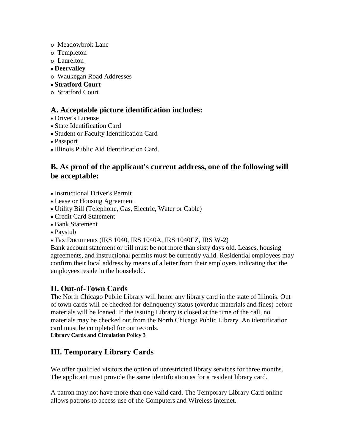- o Meadowbrok Lane
- o Templeton
- o Laurelton
- **Deervalley**
- o Waukegan Road Addresses
- **Stratford Court**
- o Stratford Court

## **A. Acceptable picture identification includes:**

- Driver's License
- State Identification Card
- Student or Faculty Identification Card
- Passport
- Illinois Public Aid Identification Card.

# **B. As proof of the applicant's current address, one of the following will be acceptable:**

- Instructional Driver's Permit
- Lease or Housing Agreement
- Utility Bill (Telephone, Gas, Electric, Water or Cable)
- Credit Card Statement
- Bank Statement
- Paystub
- Tax Documents (IRS 1040, IRS 1040A, IRS 1040EZ, IRS W-2)

Bank account statement or bill must be not more than sixty days old. Leases, housing agreements, and instructional permits must be currently valid. Residential employees may confirm their local address by means of a letter from their employers indicating that the employees reside in the household.

## **II. Out-of-Town Cards**

The North Chicago Public Library will honor any library card in the state of Illinois. Out of town cards will be checked for delinquency status (overdue materials and fines) before materials will be loaned. If the issuing Library is closed at the time of the call, no materials may be checked out from the North Chicago Public Library. An identification card must be completed for our records.

**Library Cards and Circulation Policy 3**

# **III. Temporary Library Cards**

We offer qualified visitors the option of unrestricted library services for three months. The applicant must provide the same identification as for a resident library card.

A patron may not have more than one valid card. The Temporary Library Card online allows patrons to access use of the Computers and Wireless Internet.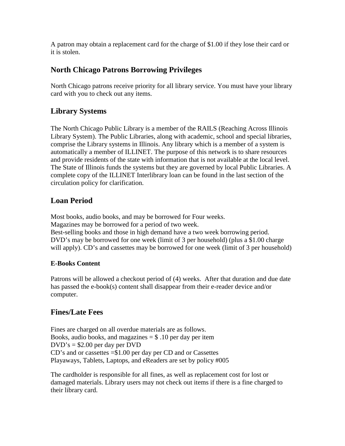A patron may obtain a replacement card for the charge of \$1.00 if they lose their card or it is stolen.

# **North Chicago Patrons Borrowing Privileges**

North Chicago patrons receive priority for all library service. You must have your library card with you to check out any items.

# **Library Systems**

The North Chicago Public Library is a member of the RAILS (Reaching Across Illinois Library System). The Public Libraries, along with academic, school and special libraries, comprise the Library systems in Illinois. Any library which is a member of a system is automatically a member of ILLINET. The purpose of this network is to share resources and provide residents of the state with information that is not available at the local level. The State of Illinois funds the systems but they are governed by local Public Libraries. A complete copy of the ILLINET Interlibrary loan can be found in the last section of the circulation policy for clarification.

# **Loan Period**

Most books, audio books, and may be borrowed for Four weeks. Magazines may be borrowed for a period of two week. Best-selling books and those in high demand have a two week borrowing period. DVD's may be borrowed for one week (limit of 3 per household) (plus a \$1.00 charge will apply). CD's and cassettes may be borrowed for one week (limit of 3 per household)

### **E-Books Content**

Patrons will be allowed a checkout period of (4) weeks. After that duration and due date has passed the e-book(s) content shall disappear from their e-reader device and/or computer.

# **Fines/Late Fees**

Fines are charged on all overdue materials are as follows. Books, audio books, and magazines  $= $.10$  per day per item  $DVD's = $2.00$  per day per DVD CD's and or cassettes =\$1.00 per day per CD and or Cassettes Playaways, Tablets, Laptops, and eReaders are set by policy #005

The cardholder is responsible for all fines, as well as replacement cost for lost or damaged materials. Library users may not check out items if there is a fine charged to their library card.